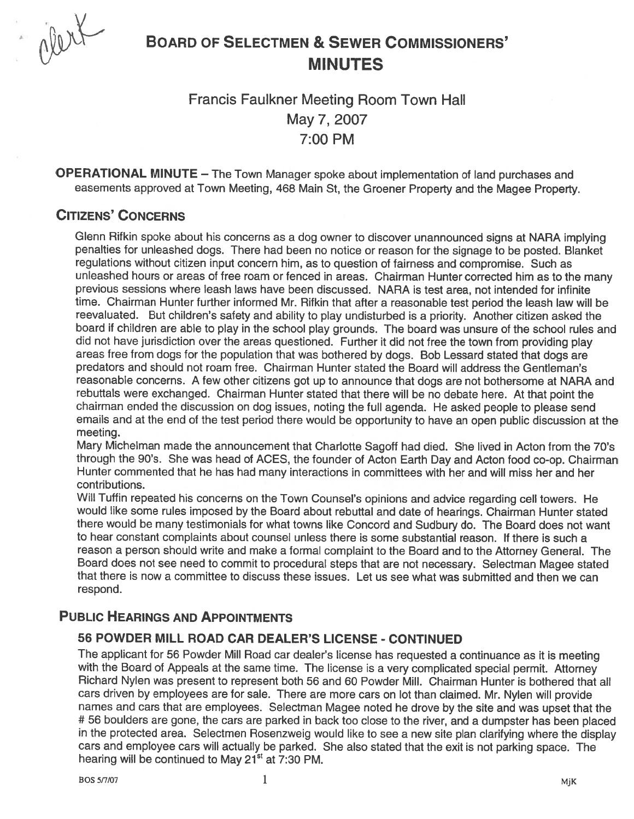

# BOARD OF SELECTMEN & SEWER CoMMIssIoNERs' MINUTES

# Francis Faulkner Meeting Room Town Hall May 7, 2007 7:00 PM

OPERATIONAL MINUTE — The Town Manager spoke about implementation of land purchases and easements approved at Town Meeting, 468 Main St, the Groener Property and the Magee Property.

# CITIZENS' CONCERNS

Glenn Rifkin spoke about his concerns as <sup>a</sup> dog owner to discover unannounced signs at NARA implying penalties for unleashed dogs. There had been no notice or reason for the signage to be posted. Blanket regulations without citizen input concern him, as to question of fairness and compromise. Such as unleashed hours or areas of tree roam or fenced in areas. Chairman Hunter corrected him as to the many previous sessions where leash laws have been discussed. NARA is test area, not intended for infinite time. Chairman Hunter further informed Mr. Rifkin that after a reasonable test period the leash law will be reevaluated. But children's safety and ability to <sup>p</sup>lay undisturbed is <sup>a</sup> priority. Another citizen asked the board if children are able to <sup>p</sup>lay in the school <sup>p</sup>lay grounds. The board was unsure of the school rules and did not have jurisdiction over the areas questioned. Further it did not free the town from providing <sup>p</sup>lay areas free from dogs for the population that was bothered by dogs. Bob Lessard stated that dogs are predators and should not roam free. Chairman Hunter stated the Board will address the Gentleman's reasonable concerns. A few other citizens go<sup>t</sup> up to announce that dogs are not bothersome at NARA and rebuttals were exchanged. Chairman Hunter stated that there will be no debate here. At that point the chairman ended the discussion on dog issues, noting the full agenda. He asked people to <sup>p</sup>lease send emails and at the end of the test period there would be opportunity to have an open public discussion at the meeting.

Mary Michelman made the announcement that Charlotte Sagoff had died. She lived in Acton from the 70's through the 90's. She was head of ACES, the founder of Acton Earth Day and Acton food co-op. Chairman Hunter commented that he has had many interactions in committees with her and will miss her and her contributions.

Will Tuftin repeated his concerns on the Town Counsel's opinions and advice regarding cell towers. He would like some rules imposed by the Board about rebuttal and date of hearings. Chairman Hunter stated there would be many testimonials for what towns like Concord and Sudbury do. The Board does not want to hear constant complaints about counsel unless there is some substantial reason. If there is such a reason <sup>a</sup> person should write and make <sup>a</sup> formal complaint to the Board and to the Attorney General. The Board does not see need to commit to procedural steps that are not necessary. Selectman Magee stated that there is now <sup>a</sup> committee to discuss these issues. Let us see what was submitted and then we can respond.

# PUBLIC HEARINGS AND APPOINTMENTS

## 56 POWDER MILL ROAD CAR DEALER'S LICENSE - CONTINUED

The applicant for <sup>56</sup> Powder Mill Road car dealer's license has requested <sup>a</sup> continuance as it is meeting with the Board of Appeals at the same time. The license is <sup>a</sup> very complicated special permit. Attorney Richard Nylen was presen<sup>t</sup> to represen<sup>t</sup> both 56 and 60 Powder Mill. Chairman Hunter is bothered that all cars driven by employees are for sale. There are more cars on lot than claimed. Mr. Nylen will provide names and cars that are employees. Selectman Magee noted he drove by the site and was upse<sup>t</sup> that the # 56 boulders are gone, the cars are parked in back too close to the river, and <sup>a</sup> dumpster has been placed in the protected area. Selectmen Rosenzweig would like to see <sup>a</sup> new site plan clarifying where the display cars and employee cars will actually be parked. She also stated that the exit is not parking space. The hearing will be continued to May 21<sup>st</sup> at 7:30 PM.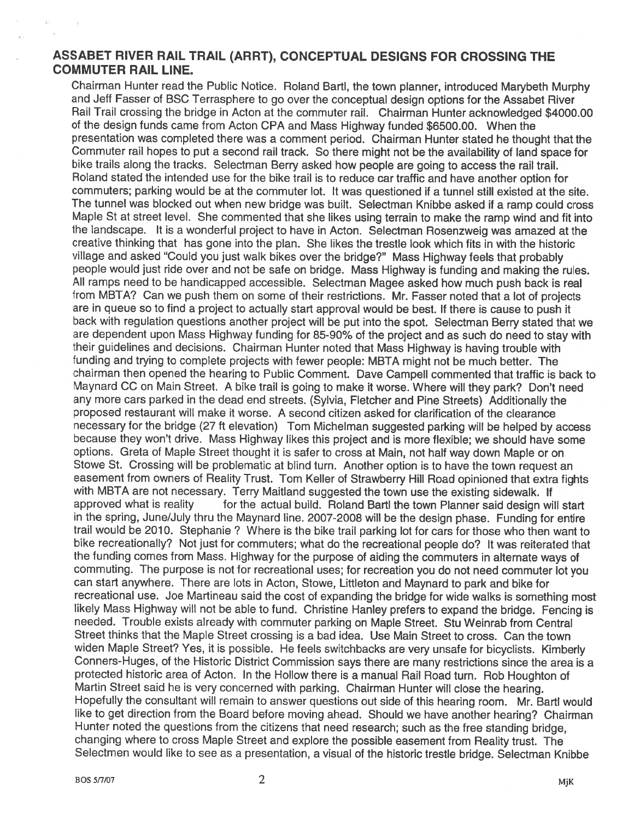## ASSABET RIVER RAIL TRAIL (ARRT), CONCEPTUAL DESIGNS FOR CROSSING THE COMMUTER RAIL LINE.

Chairman Hunter read the Public Notice. Roland Bartl, the town <sup>p</sup>lanner, introduced Marybeth Murphy and Jeff Fasser of BSC Terrasphere to go over the conceptual design options for the Assabet Rivet Rail Trail crossing the bridge in Acton at the commuter rail. Chairman Hunter acknowledged \$4000.00 of the design funds came from Acton CPA and Mass Highway funded \$6500.00. When the presentation was completed there was a comment period. Chairman Hunter stated he thought that the Commuter rail hopes to pu<sup>t</sup> <sup>a</sup> second rail track. So there might not be the availability of land space for bike trails along the tracks. Selectman Berry asked how people are going to access the rail trail. Roland stated the intended use for the bike trail is to reduce car traffic and have another option for commuters; parking would be at the commuter lot. It was questioned if <sup>a</sup> tunnel still existed at the site. The tunnel was blocked out when new bridge was built. Selectman Knibbe asked if <sup>a</sup> ramp could cross Maple St at street level. She commented that she likes using terrain to make the ramp wind and fit into the landscape. It is <sup>a</sup> wonderful project to have in Acton. Selectman Rosenzweig was amazed at the creative thinking that has gone into the <sup>p</sup>lan. She likes the trestle look which fits in with the historic village and asked "Could you just walk bikes over the bridge?" Mass Highway feels that probably people would just ride over and not be safe on bridge. Mass Highway is funding and making the rules. All ramps need to be handicapped accessible. Selectman Magee asked how much pus<sup>h</sup> back is real from MBTA? Can we push them on some of their restrictions. Mr. Fasser noted that <sup>a</sup> lot of projects are in queue so to find a project to actually start approval would be best. If there is cause to push it back with regulation questions another project will be pu<sup>t</sup> into the spot. Selectman Berry stated that we are dependent upon Mass Highway funding for 85-90% of the project and as such do need to stay with their guidelines and decisions. Chairman Hunter noted that Mass Highway is having trouble with funding and trying to complete projects with fewer people: MBTA might not be much better. The chairman then opene<sup>d</sup> the hearing to Public Comment. Dave Campell commented that traffic is back to Maynard CC on Main Street. <sup>A</sup> bike trail is going to make it worse. Where will they park? Don't need any more cars parked in the dead end streets. (Sylvia, Fletcher and Pine Streets) Additionally the proposed restaurant will make it worse. A second citizen asked for clarification of the clearance necessary for the bridge (27 ft elevation) Tom Michelman suggested parking will be helped by access because they won't drive. Mass Highway likes this project and is more flexible; we should have some options. Greta of Maple Street thought it is safer to cross at Main, not half way down Maple or on Stowe St. Crossing will be problematic at blind turn. Another option is to have the town reques<sup>t</sup> an easement from owners of Reality Trust. Tom Keller of Strawberry Hill Road opinioned that extra fights with MBTA are not necessary. Terry Maitland suggested the town use the existing sidewalk. If approve<sup>d</sup> what is reality for the actual build. Roland Bartl the town Planner said design will start in the spring, June/July thru the Maynard line. 2007-2008 will be the design <sup>p</sup>hase. Funding for entire trail would be 2010. Stephanie? Where is the bike trail parking lot for cars for those who then want to bike recreationally? Not just for commuters; what do the recreational people do? It was reiterated that the funding comes from Mass. Highway for the purpose of aiding the commuters in alternate ways of commuting. The purpose is not for recreational uses; for recreation you do not need commuter lot you can start anywhere. There are lots in Acton, Stowe, Liffleton and Maynard to par<sup>k</sup> and bike for recreational use. Joe Martineau said the cost of expanding the bridge for wide walks is something most likely Mass Highway will not be able to fund. Christine Hanley prefers to expan<sup>d</sup> the bridge. Fencing is needed. Trouble exists already with commuter parking on Maple Street. Stu Weinrab from Central Street thinks that the Maple Street crossing is <sup>a</sup> bad idea. Use Main Street to cross. Can the town widen Maple Street? Yes, it is possible. He feels switchbacks are very unsafe for bicyclists. Kimberly Conners-Huges, of the Historic District Commission says there are many restrictions since the area is a protected historic area of Acton. In the Hollow there is <sup>a</sup> manual Rail Road turn. Rob Houghton of Martin Street said he is very concerned with parking. Chairman Hunter will close the hearing. Hopefully the consultant will remain to answer questions out side of this hearing room. Mr. Bartl would like to ge<sup>t</sup> direction from the Board before moving ahead. Should we have another hearing? Chairman Hunter noted the questions from the citizens that need research; such as the free standing bridge, changing where to cross Maple Street and explore the possible easement from Reality trust. The Selectmen would like to see as <sup>a</sup> presentation, <sup>a</sup> visual of the historic trestle bridge. Selectman Knibbe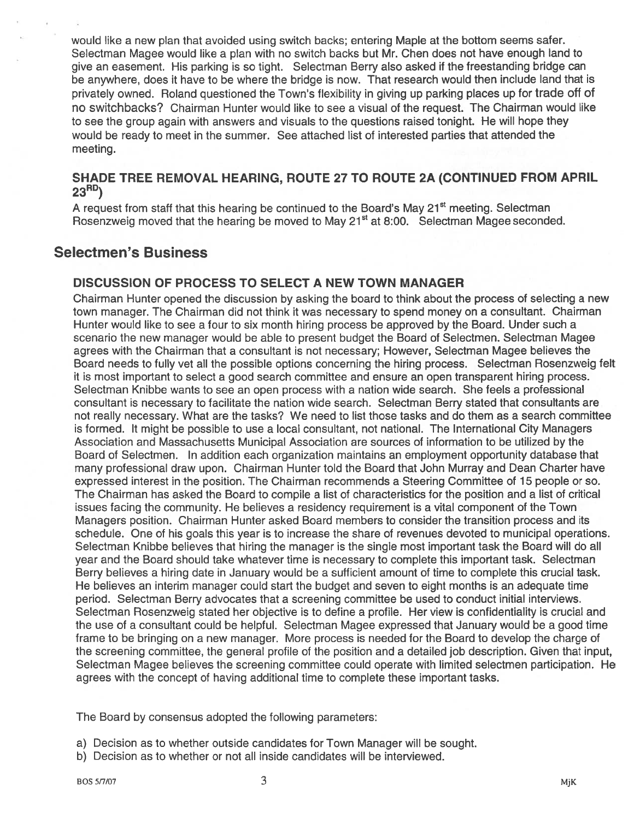would like <sup>a</sup> new plan that avoided using switch backs; entering Maple at the bottom seems safer. Selectman Magee would like <sup>a</sup> plan with no switch backs but Mr. Chen does not have enough land to <sup>g</sup>ive an easement. His parking is so tight. Selectman Berry also asked if the freestanding bridge can be anywhere, does it have to be where the bridge is now. That research would then include land that is privately owned. Roland questioned the Town's flexibility in giving up parking places up for trade off of no switchbacks? Chairman Hunter would like to see <sup>a</sup> visual of the request. The Chairman would like to see the group again with answers and visuals to the questions raised tonight. He will hope they would be ready to meet in the summer. See attached list of interested parties that attended the meeting.

#### SHADE TREE REMOVAL HEARING, ROUTE 27 TO ROUTE 2A (CONTINUED FROM APRIL  $23^{RD}$

A request from staff that this hearing be continued to the Board's May 21<sup>st</sup> meeting. Selectman Rosenzweig moved that the hearing be moved to May 21<sup>st</sup> at 8:00. Selectman Magee seconded.

# Selectmen's Business

#### DISCUSSION OF PROCESS TO SELECT A NEW TOWN MANAGER

Chairman Hunter opened the discussion by asking the board to think about the process of selecting <sup>a</sup> new town manager. The Chairman did not think it was necessary to spend money on <sup>a</sup> consultant. Chairman Hunter would like to see <sup>a</sup> four to six month hiring process be approved by the Board. Under such <sup>a</sup> scenario the new manager would be able to presen<sup>t</sup> budget the Board of Selectmen. Selectman Magee agrees with the Chairman that <sup>a</sup> consultant is not necessary; However, Selectman Magee believes the Board needs to fully vet all the possible options concerning the hiring process. Selectman Rosenzweig felt it is most important to select <sup>a</sup> good search committee and ensure an open transparent hiring process. Selectman Knibbe wants to see an open process with <sup>a</sup> nation wide search. She feels <sup>a</sup> professional consultant is necessary to facilitate the nation wide search. Selectman Berry stated that consultants are not really necessary. What are the tasks? We need to list those tasks and do them as <sup>a</sup> search committee is formed. It might be possible to use <sup>a</sup> local consultant, not national. The International City Managers Association and Massachusetts Municipal Association are sources of information to be utilized by the Board of Selectmen. In addition each organization maintains an employment opportunity database that many professional draw upon. Chairman Hunter told the Board that John Murray and Dean Charter have expressed interest in the position. The Chairman recommends <sup>a</sup> Steering Committee of 15 people or so. The Chairman has asked the Board to compile <sup>a</sup> list of characteristics for the position and <sup>a</sup> list of critical issues facing the community. He believes <sup>a</sup> residency requirement is <sup>a</sup> vital componen<sup>t</sup> of the Town Managers position. Chairman Hunter asked Board members to consider the transition process and its schedule. One of his goals this year is to increase the share of revenues devoted to municipal operations. Selectman Knibbe believes that hiring the manager is the single most important task the Board will do all year and the Board should take whatever time is necessary to complete this important task. Selectman Berry believes <sup>a</sup> hiring date in January would be <sup>a</sup> sufficient amount of time to complete this crucial task. He believes an interim manager could start the budget and seven to eight months is an adequate time period. Selectman Berry advocates that <sup>a</sup> screening committee be used to conduct initial interviews. Selectman Rosenzweig stated her objective is to define <sup>a</sup> profile. Her view is confidentiality is crucial and the use of <sup>a</sup> consultant could be helpful. Selectman Magee expressed that January would be <sup>a</sup> good time frame to be bringing on <sup>a</sup> new manager. More process is needed for the Board to develop the charge of the screening committee, the general profile of the position and <sup>a</sup> detailed job description. Given that input, Selectman Magee believes the screening committee could operate with limited selectmen participation. He agrees with the concep<sup>t</sup> of having additional time to complete these important tasks.

The Board by consensus adopted the following parameters:

- a) Decision as to whether outside candidates for Town Manager will be sought.
- b) Decision as to whether or not all inside candidates will be interviewed.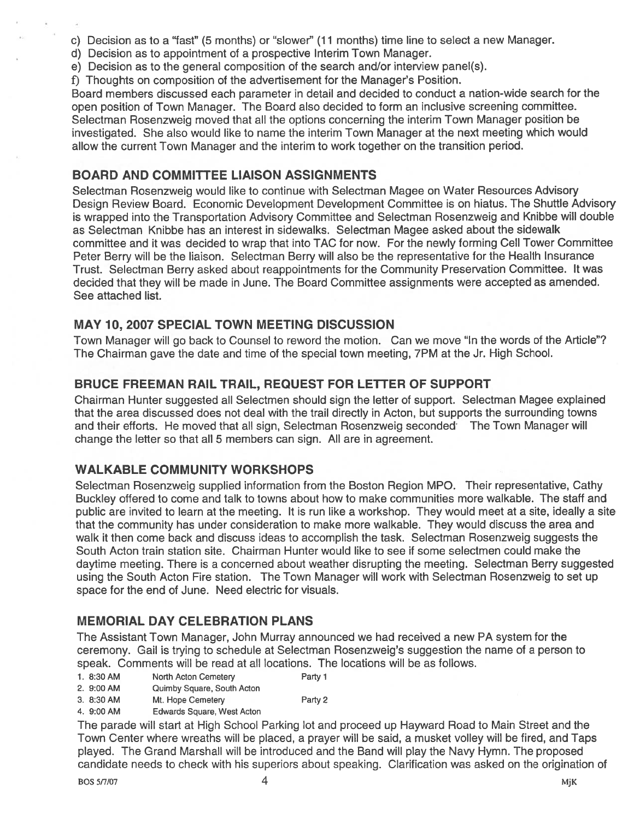c) Decision as to a "fast" (5 months) or "slower" (11 months) time line to select a new Manager.

- d) Decision as to appointment of <sup>a</sup> prospective Interim Town Manager.
- e) Decision as to the general composition of the search and/or interview panel(s).
- 1) Thoughts on composition of the advertisement for the Manager's Position.

Board members discussed each parameter in detail and decided to conduct <sup>a</sup> nation-wide search for the open position of Town Manager. The Board also decided to form an inclusive screening committee. Selectman Rosenzweig moved that all the options concerning the interim Town Manager position be investigated. She also would like to name the interim Town Manager at the next meeting which would allow the current Town Manager and the interim to work together on the transition period.

# BOARD AND COMMITTEE LIAISON ASSIGNMENTS

Selectman Rosenzweig would like to continue with Selectman Magee on Water Resources Advisory Design Review Board. Economic Development Development Committee is on hiatus. The Shuttle Advisory is wrapped into the Transportation Advisory Committee and Selectman Rosenzweig and Knibbe will double as Selectman Knibbe has an interest in sidewalks. Selectman Magee asked about the sidewalk committee and it was decided to wrap that into TAC for now. For the newly forming Cell Tower Committee Peter Berry will be the liaison. Selectman Berry will also be the representative for the Health Insurance Trust. Selectman Berry asked about reappointments for the Community Preservation Committee. It was decided that they will be made in June. The Board Committee assignments were accepted as amended. See attached list.

## MAY 10, 2007 SPECIAL TOWN MEETING DISCUSSION

Town Manager will go back to Counsel to reword the motion. Can we move "In the words of the Article"? The Chairman gave the date and time of the special town meeting, 7PM at the Jr. High School.

# BRUCE FREEMAN RAIL TRAIL, REQUEST FOR LETTER OF SUPPORT

Chairman Hunter suggested all Selectmen should sign the letter of support. Selectman Magee explained that the area discussed does not deal with the trail directly in Acton, but supports the surrounding towns and their efforts. He moved that all sign, Selectman Rosenzweig seconded The Town Manager will change the letter so that all 5 members can sign. All are in agreement.

# WALKABLE COMMUNITY WORKSHOPS

Selectman Rosenzweig supplied information from the Boston Region MPO. Their representative, Cathy Buckley offered to come and talk to towns about how to make communities more walkable. The staff and public are invited to learn at the meeting. It is run like <sup>a</sup> workshop. They would meet at <sup>a</sup> site, ideally <sup>a</sup> site that the community has under consideration to make more walkable. They would discuss the area and walk it then come back and discuss ideas to accomplish the task. Selectman Rosenzweig suggests the South Acton train station site. Chairman Hunter would like to see if some selectmen could make the daytime meeting. There is <sup>a</sup> concerned about weather disrupting the meeting. Selectman Berry suggested using the South Acton Fire station. The Town Manager will work with Selectman Rosenzweig to set up space for the end of June. Need electric for visuals.

# MEMORIAL DAY CELEBRATION PLANS

The Assistant Town Manager, John Murray announced we had received <sup>a</sup> new PA system for the ceremony. Gail is trying to schedule at Selectman Rosenzweig's suggestion the name of <sup>a</sup> person to speak. Comments will be read at all locations. The locations will be as follows.

1. 8:30 AM North Acton Cemetery Party 1

- 2. 9:00 AM Quimby Square, South Acton
- 3. 8:30 AM Mt. Hope Cemetery Party 2
- 
- 4. 9:00 AM Edwards Square, West Acton

The parade will start at High School Parking lot and proceed up Hayward Road to Main Street and the Town Center where wreaths will be placed, <sup>a</sup> prayer will be said, <sup>a</sup> musket volley will be fired, and Taps played. The Grand Marshall will be introduced and the Band will play the Navy Hymn. The proposed candidate needs to check with his superiors about speaking. Clarification was asked on the origination of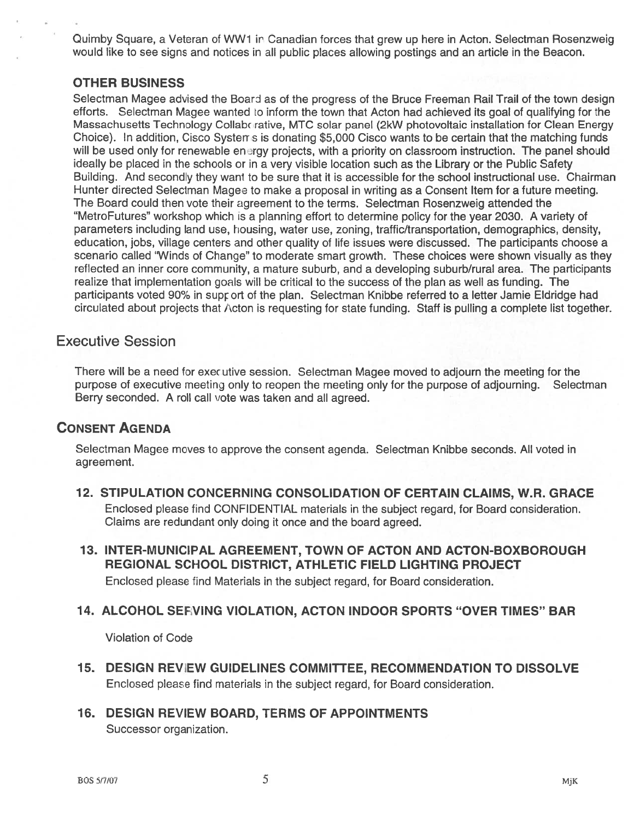Quimby Square, a Veteran of WW1 in Canadian forces that grew up here in Acton. Selectman Rosenzweig would like to see signs and notices in all public places allowing postings and an article in the Beacon.

#### OTHER BUSINESS

Selectman Magee advised the Board as of the progress of the Bruce Freeman Rail Trail of the town design efforts. Selectman Magee wanted to inform the town that Acton had achieved its goal of qualifying for the Massachusetts Technology Collaborative, MTC solar panel (2kW photovoltaic installation for Clean Energy Choice). In addition, Cisco Systerr <sup>s</sup> is donating \$5,000 Cisco wants to be certain that the matching funds will be used only for renewable energy projects, with a priority on classroom instruction. The panel should ideally be placed in the schools or in <sup>a</sup> very visible location such as the Library or the Public Safety Building. And secondly they wan1 to be sure that it is accessible for the school instructional use. Chairman Hunter directed Selectman Magee to make a proposal in writing as a Consent Item for a future meeting. The Board could then vote their agreemen<sup>t</sup> to the terms. Selectman Rosenzweig attended the "MetroFutures" workshop which is a planning effort to determine policy for the year 2030. A variety of parameters including land use, housing, water use, zoning, traffic/transportation, demographics, density, education, jobs, village centers and other quality of life issues were discussed. The participants choose <sup>a</sup> scenario called 'Winds of Change" to moderate smart growth. These choices were shown visually as they reflected an inner core community, <sup>a</sup> mature suburb, and <sup>a</sup> developing suburb/rural area. The participants realize that implementation goals will be critical to the success of the plan as well as funding. The participants voted 90% in support of the plan. Selectman Knibbe referred to a letter Jamie Eldridge had circulated about projects that Acton is requesting for state funding. Staff is pulling a complete list together.

## Executive Session

There will be <sup>a</sup> need for exec utive session. Selectman Magee moved to adjourn the meeting for the purpose of executive meeting only to reopen the meeting only for the purpose of adjourning. Selectman Berry seconded. A roll call vote was taken and all agreed.

## CONSENT AGENDA

Selectman Magee moves to approve the consent agenda. Selectman Knibbe seconds. All voted in agreement.

- 72. STIPULATION CONCERNING CONSOLIDATION OF CERTAIN CLAIMS, W.R. GRACE Enclosed please find CONFIDENTIAL materials in the subject regard, for Board consideration. Claims are redundant only doing it once and the board agreed.
- 73. INTER-MUNICIPAL AGREEMENT, TOWN OF ACTON AND ACTON-BOXBOROUGH REGIONAL SCHOOL DISTRICT, ATHLETIC FIELD LIGHTING PROJECT Enclosed please find Materials in the subject regard, for Board consideration.

## 14. ALCOHOL SEFVING VIOLATION, ACTON INDOOR SPORTS "OVER TIMES" BAR

Violation of Code

- 15. DESIGN REVIEW GUIDELINES COMMITTEE, RECOMMENDATION TO DISSOLVE Enclosed please find materials in the subject regard, for Board consideration.
- 16. DESIGN REVIEW BOARD, TERMS OF APPOINTMENTS Successor organization.